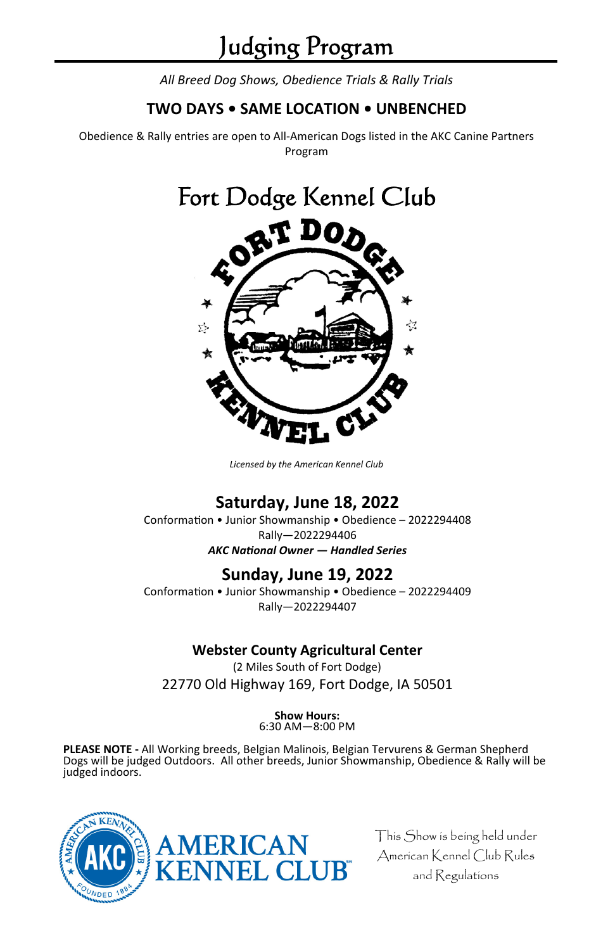*All Breed Dog Shows, Obedience Trials & Rally Trials* 

# **TWO DAYS • SAME LOCATION • UNBENCHED**

Obedience & Rally entries are open to All-American Dogs listed in the AKC Canine Partners Program

# Fort Dodge Kennel Club



*Licensed by the American Kennel Club* 

# **Saturday, June 18, 2022**

Conformation • Junior Showmanship • Obedience – 2022294408 Rally—2022294406 *AKC NaƟonal Owner — Handled Series* 

# **Sunday, June 19, 2022**

Conformation • Junior Showmanship • Obedience - 2022294409 Rally—2022294407

# **Webster County Agricultural Center**

(2 Miles South of Fort Dodge) 22770 Old Highway 169, Fort Dodge, IA 50501

# **Show Hours:**

6:30 AM—8:00 PM

**PLEASE NOTE -** All Working breeds, Belgian Malinois, Belgian Tervurens & German Shepherd Dogs will be judged Outdoors. All other breeds, Junior Showmanship, Obedience & Rally will be judged indoors.



This Show is being held under American Kennel Club Rules and Regulations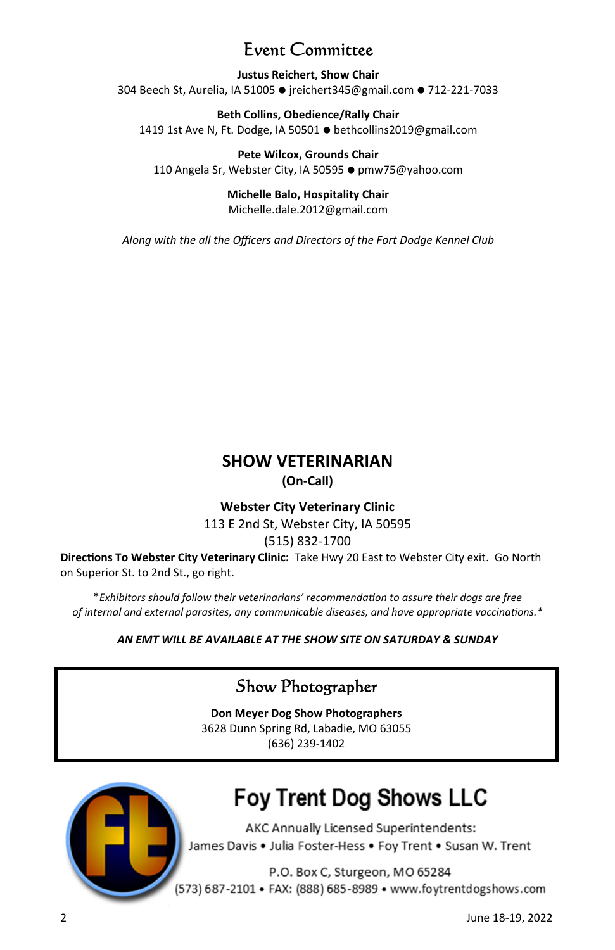# Event Committee

**Justus Reichert, Show Chair**  304 Beech St, Aurelia, IA 51005 • jreichert345@gmail.com • 712-221-7033

**Beth Collins, Obedience/Rally Chair**  1419 1st Ave N, Ft. Dodge, IA 50501 ● bethcollins2019@gmail.com

**Pete Wilcox, Grounds Chair**  110 Angela Sr, Webster City, IA 50595 • pmw75@yahoo.com

> **Michelle Balo, Hospitality Chair**  Michelle.dale.2012@gmail.com

*Along with the all the Officers and Directors of the Fort Dodge Kennel Club*

# **SHOW VETERINARIAN (On-Call)**

## **Webster City Veterinary Clinic**

113 E 2nd St, Webster City, IA 50595

## (515) 832-1700

**DirecƟons To Webster City Veterinary Clinic:** Take Hwy 20 East to Webster City exit. Go North on Superior St. to 2nd St., go right.

\**Exhibitors should follow their veterinarians' recommendaƟon to assure their dogs are free of internal and external parasites, any communicable diseases, and have appropriate vaccinations.\** 

## *AN EMT WILL BE AVAILABLE AT THE SHOW SITE ON SATURDAY & SUNDAY*

# Show Photographer

**Don Meyer Dog Show Photographers**  3628 Dunn Spring Rd, Labadie, MO 63055 (636) 239-1402



# **Fov Trent Dog Shows LLC**

AKC Annually Licensed Superintendents: James Davis . Julia Foster-Hess . Foy Trent . Susan W. Trent

P.O. Box C, Sturgeon, MO 65284 (573) 687-2101 • FAX: (888) 685-8989 • www.foytrentdogshows.com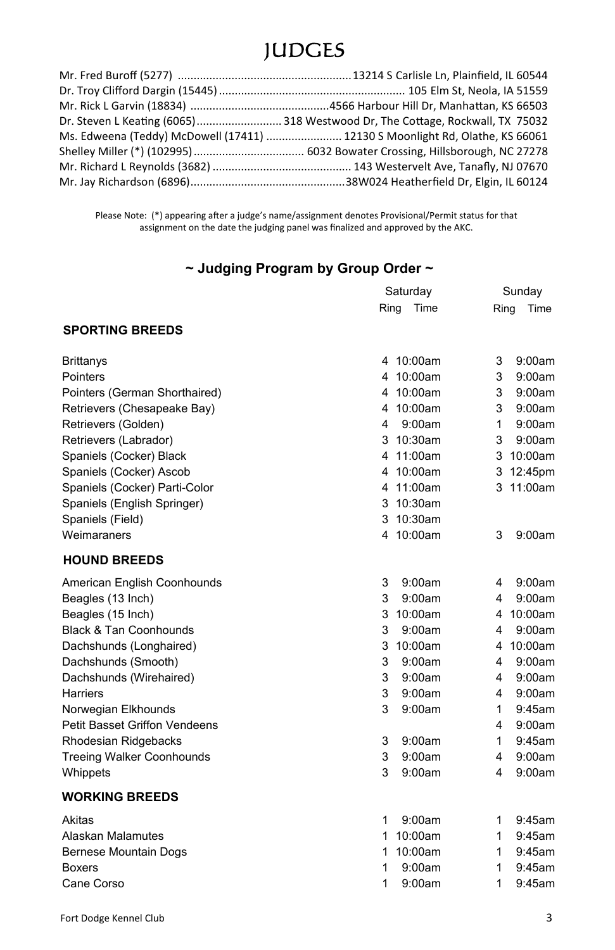# JUDGES

| Dr. Steven L Keating (6065)  318 Westwood Dr, The Cottage, Rockwall, TX 75032 |
|-------------------------------------------------------------------------------|
| Ms. Edweena (Teddy) McDowell (17411)  12130 S Moonlight Rd, Olathe, KS 66061  |
|                                                                               |
|                                                                               |
|                                                                               |

Please Note: (\*) appearing after a judge's name/assignment denotes Provisional/Permit status for that atch ent<br>assignment on the date the judging panel was finalized and approved by the AKC.

# **~ Judging Program by Group Order ~**

|                                   | Saturday        | Sunday         |
|-----------------------------------|-----------------|----------------|
|                                   | Ring<br>Time    | Ring<br>Time   |
| <b>SPORTING BREEDS</b>            |                 |                |
| Brittanys                         | 4 10:00am       | 9:00am<br>3    |
| Pointers                          | 4 10:00am       | 9:00am<br>3    |
| Pointers (German Shorthaired)     | 4 10:00am       | 9:00am<br>3    |
| Retrievers (Chesapeake Bay)       | 4 10:00am       | 3<br>9:00am    |
| Retrievers (Golden)               | 9:00am<br>4     | 9:00am<br>1    |
| Retrievers (Labrador)             | $10:30$ am<br>3 | 3<br>9:00am    |
| Spaniels (Cocker) Black           | 4 11:00am       | 3<br>10:00am   |
| Spaniels (Cocker) Ascob           | 10:00am<br>4    | 12:45pm<br>3   |
| Spaniels (Cocker) Parti-Color     | 4 11:00am       | 11:00am<br>3   |
| Spaniels (English Springer)       | 10:30am<br>3    |                |
| Spaniels (Field)                  | 10:30am<br>3    |                |
| Weimaraners                       | 4 10:00am       | 3<br>9:00am    |
| <b>HOUND BREEDS</b>               |                 |                |
| American English Coonhounds       | 9:00am<br>3     | 9:00am<br>4    |
| Beagles (13 Inch)                 | 3<br>9:00am     | 9:00am<br>4    |
| Beagles (15 Inch)                 | 3<br>10:00am    | 10:00am<br>4   |
| <b>Black &amp; Tan Coonhounds</b> | 3<br>9:00am     | 9:00am<br>4    |
| Dachshunds (Longhaired)           | 3<br>10:00am    | 10:00am<br>4   |
| Dachshunds (Smooth)               | 3<br>9:00am     | 9:00am<br>4    |
| Dachshunds (Wirehaired)           | 9:00am<br>3     | 9:00am<br>4    |
| Harriers                          | 3<br>9:00am     | 9:00am<br>4    |
| Norwegian Elkhounds               | 3<br>9:00am     | $9:45$ am<br>1 |
| Petit Basset Griffon Vendeens     |                 | 4<br>9:00am    |
| Rhodesian Ridgebacks              | 3<br>9:00am     | 1<br>9:45am    |
| <b>Treeing Walker Coonhounds</b>  | 3<br>9:00am     | 4<br>9:00am    |
| Whippets                          | 3<br>9:00am     | 4<br>9:00am    |
| <b>WORKING BREEDS</b>             |                 |                |
| Akitas                            | 9:00am<br>1     | 1<br>9:45am    |
| Alaskan Malamutes                 | 10:00am<br>1    | 1<br>9:45am    |
| <b>Bernese Mountain Dogs</b>      | 10:00am<br>1    | 1<br>9:45am    |
| <b>Boxers</b>                     | 1<br>9:00am     | 1<br>9:45am    |
| Cane Corso                        | 1<br>9:00am     | 1<br>9:45am    |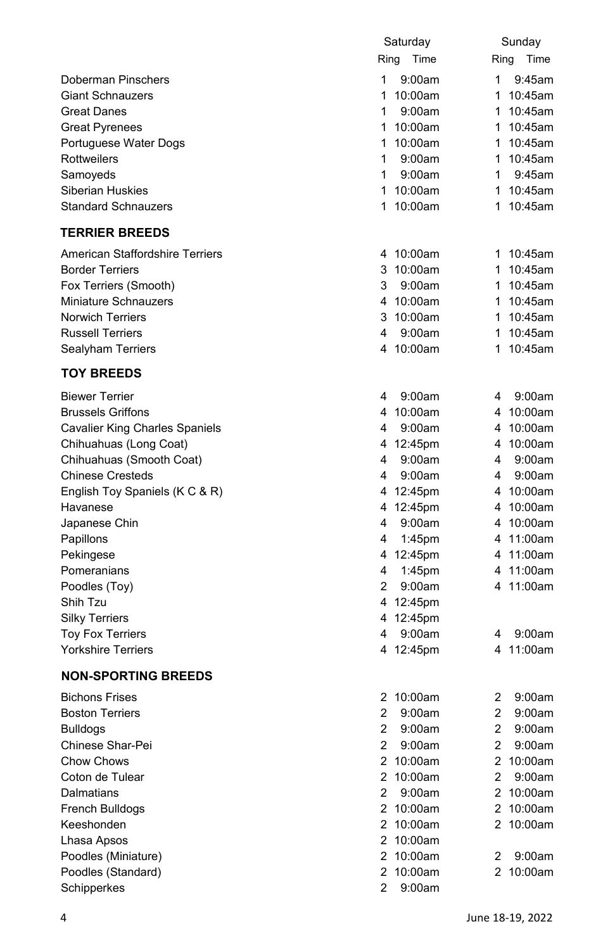|                                       | Saturday                 | Sunday        |
|---------------------------------------|--------------------------|---------------|
|                                       | Ring<br>Time             | Ring<br>Time  |
| Doberman Pinschers                    | 1<br>9:00am              | 1<br>9:45am   |
| <b>Giant Schnauzers</b>               | 1<br>10:00am             | 1<br>10:45am  |
| <b>Great Danes</b>                    | 1<br>9:00am              | 10:45am<br>1  |
| <b>Great Pyrenees</b>                 | 1 10:00am                | 10:45am<br>1  |
| Portuguese Water Dogs                 | 10:00am<br>1             | 10:45am<br>1  |
| Rottweilers                           | 1<br>9:00am              | 1<br>10:45am  |
| Samoyeds                              | 1<br>9:00am              | 1<br>9:45am   |
| <b>Siberian Huskies</b>               | 1 10:00am                | 10:45am<br>1  |
| <b>Standard Schnauzers</b>            | 1<br>10:00am             | 10:45am<br>1  |
| <b>TERRIER BREEDS</b>                 |                          |               |
|                                       |                          |               |
| American Staffordshire Terriers       | 4 10:00am                | 1 10:45am     |
| <b>Border Terriers</b>                | 3 10:00am                | 1 10:45am     |
| Fox Terriers (Smooth)                 | 9:00am<br>3              | 10:45am<br>1. |
| Miniature Schnauzers                  | 4 10:00am                | 10:45am<br>1  |
| <b>Norwich Terriers</b>               | 3 10:00am                | 10:45am<br>1. |
| <b>Russell Terriers</b>               | 9:00am<br>4              | 1<br>10:45am  |
| Sealyham Terriers                     | 4 10:00am                | 10:45am<br>1  |
| <b>TOY BREEDS</b>                     |                          |               |
| <b>Biewer Terrier</b>                 | 9:00am<br>4              | 4<br>9:00am   |
| <b>Brussels Griffons</b>              | 4 10:00am                | 4 10:00am     |
| <b>Cavalier King Charles Spaniels</b> | 9:00am<br>4              | 4 10:00am     |
| Chihuahuas (Long Coat)                | 4 12:45pm                | 4 10:00am     |
| Chihuahuas (Smooth Coat)              | 9:00am<br>4              | 4<br>9:00am   |
| <b>Chinese Cresteds</b>               | 9:00am<br>4              | 4<br>9:00am   |
| English Toy Spaniels (K C & R)        | 4 12:45pm                | 4 10:00am     |
| Havanese                              | 4 12:45pm                | 4 10:00am     |
| Japanese Chin                         | 9:00am<br>4              | 4<br>10:00am  |
| Papillons                             | $1:45$ pm<br>4           | 4 11:00am     |
| Pekingese                             | 4 12:45pm                | 11:00am<br>4  |
| Pomeranians                           | 1:45pm<br>4              | 4 11:00am     |
| Poodles (Toy)                         | $\overline{2}$<br>9:00am | 4 11:00am     |
| Shih Tzu                              | 4 12:45pm                |               |
| <b>Silky Terriers</b>                 | 4 12:45pm                |               |
| <b>Toy Fox Terriers</b>               | 9:00am<br>4              | 9:00am<br>4   |
| <b>Yorkshire Terriers</b>             | 4 12:45pm                | 4 11:00am     |
| <b>NON-SPORTING BREEDS</b>            |                          |               |
| <b>Bichons Frises</b>                 | 2 10:00am                | 2<br>9:00am   |
| <b>Boston Terriers</b>                | 2<br>9:00am              | 2<br>9:00am   |
| <b>Bulldogs</b>                       | $\overline{c}$<br>9:00am | 2<br>9:00am   |
| Chinese Shar-Pei                      | 2<br>9:00am              | 2<br>9:00am   |
| <b>Chow Chows</b>                     | 2 10:00am                | 2<br>10:00am  |
| Coton de Tulear                       | 2 10:00am                | 2<br>9:00am   |
| Dalmatians                            | 2<br>9:00am              | 2 10:00am     |
| French Bulldogs                       | 2 10:00am                | 2 10:00am     |
| Keeshonden                            | 2 10:00am                | 2 10:00am     |
| Lhasa Apsos                           | 2 10:00am                |               |
| Poodles (Miniature)                   | 2 10:00am                | 2<br>9:00am   |
| Poodles (Standard)                    | 2 10:00am                | 2 10:00am     |
| Schipperkes                           | 2 9:00am                 |               |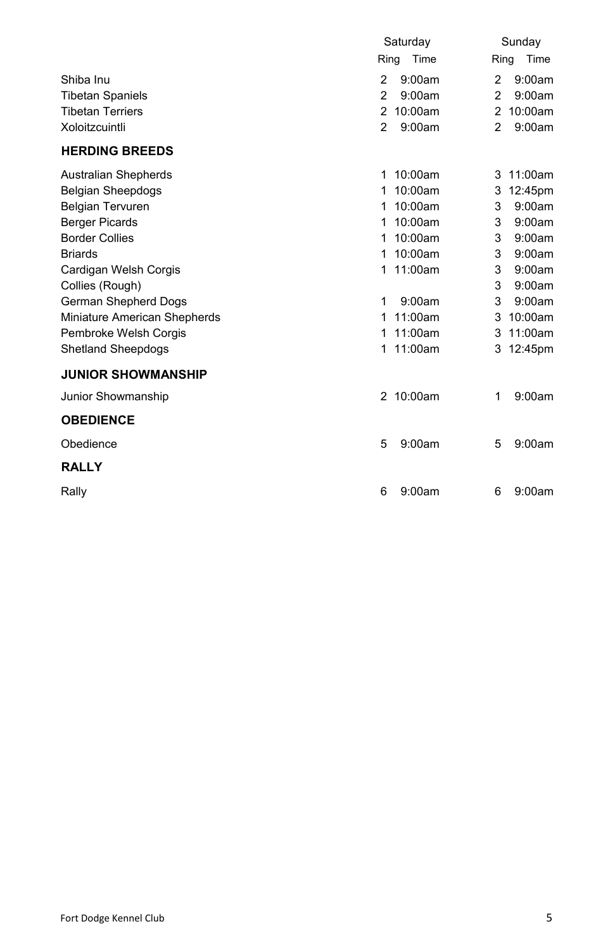|                              | Saturday                 | Sunday                    |
|------------------------------|--------------------------|---------------------------|
|                              | Ring<br>Time             | Ring<br>Time              |
| Shiba Inu                    | $\mathfrak{p}$<br>9:00am | $\mathfrak{p}$<br>9:00am  |
| <b>Tibetan Spaniels</b>      | $\mathfrak{p}$<br>9:00am | $\mathfrak{p}$<br>9:00am  |
| <b>Tibetan Terriers</b>      | 10:00am<br>2             | 10:00am<br>$\overline{2}$ |
| Xoloitzcuintli               | 2<br>9:00am              | 2<br>9:00am               |
| <b>HERDING BREEDS</b>        |                          |                           |
| <b>Australian Shepherds</b>  | 10:00am<br>1             | 11:00am<br>3              |
| <b>Belgian Sheepdogs</b>     | 10:00am<br>1             | 12:45pm<br>3              |
| <b>Belgian Tervuren</b>      | 10:00am<br>1             | 9:00am<br>3               |
| <b>Berger Picards</b>        | 10:00am<br>1             | 9:00am<br>3               |
| <b>Border Collies</b>        | 10:00am<br>1             | 3<br>9:00am               |
| <b>Briards</b>               | 10:00am<br>1             | 9:00am<br>3               |
| Cardigan Welsh Corgis        | 11:00am<br>1             | 3<br>9:00am               |
| Collies (Rough)              |                          | 3<br>9:00am               |
| German Shepherd Dogs         | 9:00am<br>1              | 3<br>9:00am               |
| Miniature American Shepherds | 11:00am<br>1             | 10:00am<br>3              |
| Pembroke Welsh Corgis        | 11:00am<br>1             | 11:00am<br>3              |
| <b>Shetland Sheepdogs</b>    | 11:00am<br>1             | 3<br>12:45pm              |
| <b>JUNIOR SHOWMANSHIP</b>    |                          |                           |
| Junior Showmanship           | 10:00am<br>2             | 9:00am<br>1               |
| <b>OBEDIENCE</b>             |                          |                           |
| Obedience                    | 9:00am<br>5              | 9:00am<br>5               |
| <b>RALLY</b>                 |                          |                           |
| Rally                        | 9:00am<br>6              | 9:00am<br>6               |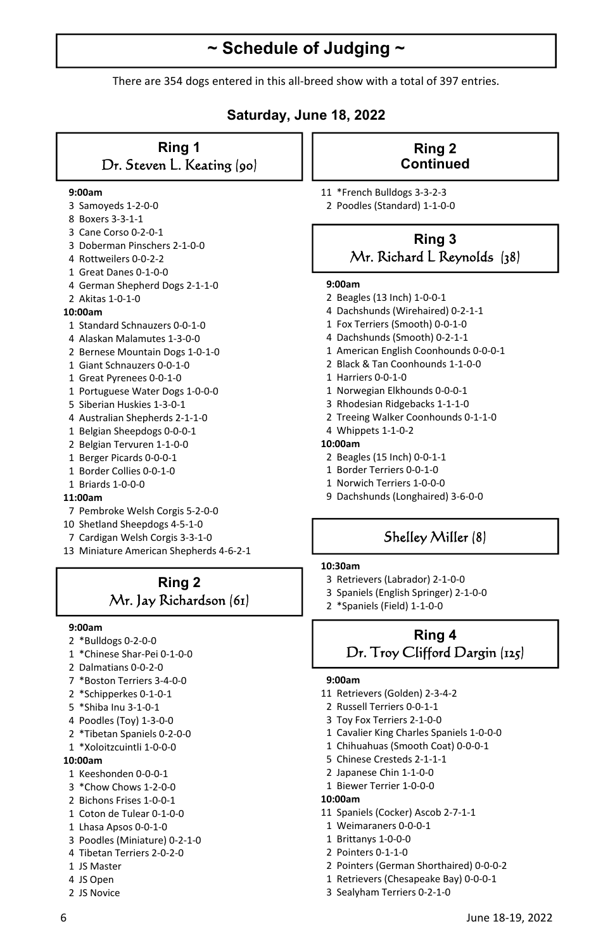# **~ Schedule of Judging ~**

There are 354 dogs entered in this all-breed show with a total of 397 entries.

## **Saturday, June 18, 2022**

## **Ring 1**  Dr. Steven L. Keating (90)

#### **9:00am**

- 3 Samoyeds 1-2-0-0
- 8 Boxers 3-3-1-1
- 3 Cane Corso 0-2-0-1
- 3 Doberman Pinschers 2-1-0-0
- 4 Rottweilers 0-0-2-2
- 1 Great Danes 0-1-0-0
- 4 German Shepherd Dogs 2-1-1-0 2 Akitas 1-0-1-0

## **10:00am**

- 1 Standard Schnauzers 0-0-1-0
- 4 Alaskan Malamutes 1-3-0-0
- 2 Bernese Mountain Dogs 1-0-1-0
- 1 Giant Schnauzers 0-0-1-0
- 1 Great Pyrenees 0-0-1-0
- 1 Portuguese Water Dogs 1-0-0-0
- 5 Siberian Huskies 1-3-0-1
- 4 Australian Shepherds 2-1-1-0
- 1 Belgian Sheepdogs 0-0-0-1
- 2 Belgian Tervuren 1-1-0-0
- 1 Berger Picards 0-0-0-1
- 1 Border Collies 0-0-1-0
- 1 Briards 1-0-0-0

#### **11:00am**

- 7 Pembroke Welsh Corgis 5-2-0-0
- 10 Shetland Sheepdogs 4-5-1-0
- 7 Cardigan Welsh Corgis 3-3-1-0
- 13 Miniature American Shepherds 4-6-2-1

## **Ring 2**  Mr. Jay Richardson (61)

#### **9:00am**

- 2 \*Bulldogs 0-2-0-0
- 1 \*Chinese Shar-Pei 0-1-0-0
- 2 Dalmatians 0-0-2-0
- 7 \*Boston Terriers 3-4-0-0
- 2 \*Schipperkes 0-1-0-1
- 5 \*Shiba Inu 3-1-0-1
- 4 Poodles (Toy) 1-3-0-0
- 2 \*Tibetan Spaniels 0-2-0-0
- 1 \*Xoloitzcuintli 1-0-0-0

### **10:00am**

- 1 Keeshonden 0-0-0-1
- 3 \*Chow Chows 1-2-0-0
- 2 Bichons Frises 1-0-0-1
- 1 Coton de Tulear 0-1-0-0
- 1 Lhasa Apsos 0-0-1-0
- 3 Poodles (Miniature) 0-2-1-0
- 4 Tibetan Terriers 2-0-2-0
- 1 JS Master
- 4 JS Open
- 2 JS Novice

## **Ring 2 Continued**

- 11 \*French Bulldogs 3-3-2-3
- 2 Poodles (Standard) 1-1-0-0

## **Ring 3**  Mr. Richard L Reynolds (38)

#### **9:00am**

- 2 Beagles (13 Inch) 1-0-0-1
- 4 Dachshunds (Wirehaired) 0-2-1-1
- 1 Fox Terriers (Smooth) 0-0-1-0
- 4 Dachshunds (Smooth) 0-2-1-1
- 1 American English Coonhounds 0-0-0-1
- 2 Black & Tan Coonhounds 1-1-0-0
- 1 Harriers 0-0-1-0
- 1 Norwegian Elkhounds 0-0-0-1
- 3 Rhodesian Ridgebacks 1-1-1-0
- 2 Treeing Walker Coonhounds 0-1-1-0
- 4 Whippets 1-1-0-2

## **10:00am**

- 2 Beagles (15 Inch) 0-0-1-1
- 1 Border Terriers 0-0-1-0
- 1 Norwich Terriers 1-0-0-0
- 9 Dachshunds (Longhaired) 3-6-0-0

## Shelley Miller (8)

#### **10:30am**

- 3 Retrievers (Labrador) 2-1-0-0
- 3 Spaniels (English Springer) 2-1-0-0
- 2 \*Spaniels (Field) 1-1-0-0

## **Ring 4**  Dr. Troy Clifford Dargin (125)

#### **9:00am**

- 11 Retrievers (Golden) 2-3-4-2
- 2 Russell Terriers 0-0-1-1
- 3 Toy Fox Terriers 2-1-0-0
- 1 Cavalier King Charles Spaniels 1-0-0-0
- 1 Chihuahuas (Smooth Coat) 0-0-0-1
- 5 Chinese Cresteds 2-1-1-1
- 2 Japanese Chin 1-1-0-0
- 1 Biewer Terrier 1-0-0-0

#### **10:00am**

- 11 Spaniels (Cocker) Ascob 2-7-1-1
- 1 Weimaraners 0-0-0-1
- 1 Brittanys 1-0-0-0
- 2 Pointers 0-1-1-0
- 2 Pointers (German Shorthaired) 0-0-0-2
- 1 Retrievers (Chesapeake Bay) 0-0-0-1
- 3 Sealyham Terriers 0-2-1-0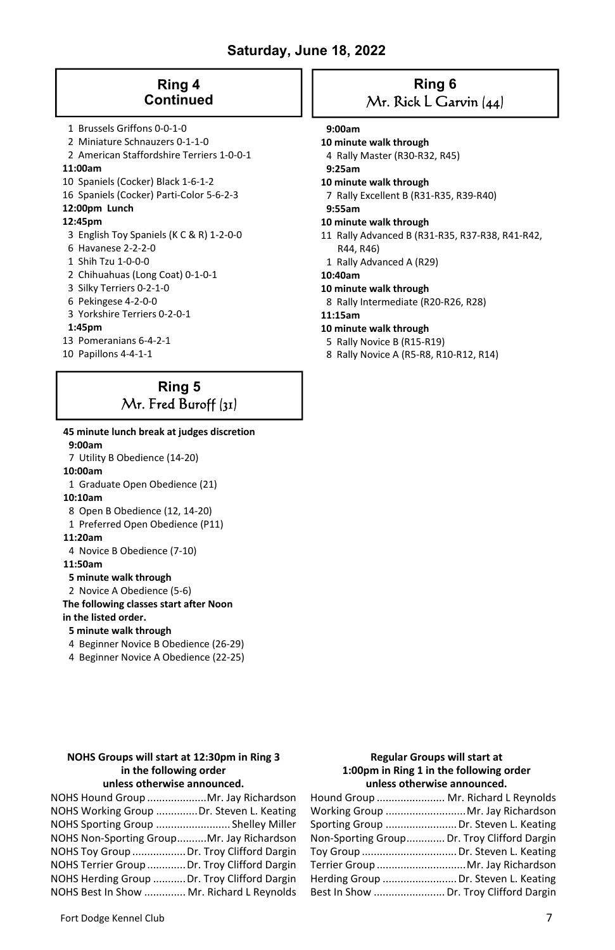## **Saturday, June 18, 2022**

## **Ring 4 Continued**

- 1 Brussels Griffons 0-0-1-0
- 2 Miniature Schnauzers 0-1-1-0
- 2 American Staffordshire Terriers 1-0-0-1

#### **11:00am**

- 10 Spaniels (Cocker) Black 1-6-1-2
- 16 Spaniels (Cocker) Parti-Color 5-6-2-3

## **12:00pm Lunch**

### **12:45pm**

- 3 English Toy Spaniels (K C & R) 1-2-0-0
- 6 Havanese 2-2-2-0
- 1 Shih Tzu 1-0-0-0
- 2 Chihuahuas (Long Coat) 0-1-0-1
- 3 Silky Terriers 0-2-1-0
- 6 Pekingese 4-2-0-0
- 3 Yorkshire Terriers 0-2-0-1

#### **1:45pm**

- 13 Pomeranians 6-4-2-1
- 10 Papillons 4-4-1-1

## **Ring 5**  Mr. Fred Buroff (31)

 **45 minute lunch break at judges discretion 9:00am**  7 Utility B Obedience (14-20)  **10:00am**  1 Graduate Open Obedience (21)  **10:10am**  8 Open B Obedience (12, 14-20) 1 Preferred Open Obedience (P11)  **11:20am**  4 Novice B Obedience (7-10)  **11:50am 5 minute walk through**  2 Novice A Obedience (5-6)  **The following classes start after Noon in the listed order. 5 minute walk through**  4 Beginner Novice B Obedience (26-29) 4 Beginner Novice A Obedience (22-25)

#### **NOHS Groups will start at 12:30pm in Ring 3 in the following order unless otherwise announced.**

| NOHS Hound Group  Mr. Jay Richardson         |  |
|----------------------------------------------|--|
| NOHS Working Group Dr. Steven L. Keating     |  |
| NOHS Sporting Group  Shelley Miller          |  |
| NOHS Non-Sporting GroupMr. Jay Richardson    |  |
| NOHS Toy Group  Dr. Troy Clifford Dargin     |  |
| NOHS Terrier Group  Dr. Troy Clifford Dargin |  |
| NOHS Herding Group  Dr. Troy Clifford Dargin |  |
| NOHS Best In Show  Mr. Richard L Reynolds    |  |

## **Ring 6**  Mr. Rick L Garvin (44)

#### **9:00am**

#### **10 minute walk through**

- 4 Rally Master (R30-R32, R45)
- **9:25am**
- **10 minute walk through**
- 7 Rally Excellent B (R31-R35, R39-R40)
- **9:55am**

#### **10 minute walk through**

- 11 Rally Advanced B (R31-R35, R37-R38, R41-R42, R44, R46)
- 1 Rally Advanced A (R29)
- **10:40am**
- **10 minute walk through**
- 8 Rally Intermediate (R20-R26, R28)
- **11:15am**
- **10 minute walk through**
- 5 Rally Novice B (R15-R19)
- 8 Rally Novice A (R5-R8, R10-R12, R14)

### **Regular Groups will start at 1:00pm in Ring 1 in the following order unless otherwise announced.**

| Hound Group  Mr. Richard L Reynolds         |  |
|---------------------------------------------|--|
| Working Group Mr. Jay Richardson            |  |
| Sporting Group  Dr. Steven L. Keating       |  |
| Non-Sporting Group Dr. Troy Clifford Dargin |  |
| Toy Group  Dr. Steven L. Keating            |  |
| Terrier Group  Mr. Jay Richardson           |  |
| Herding Group  Dr. Steven L. Keating        |  |
| Best In Show  Dr. Troy Clifford Dargin      |  |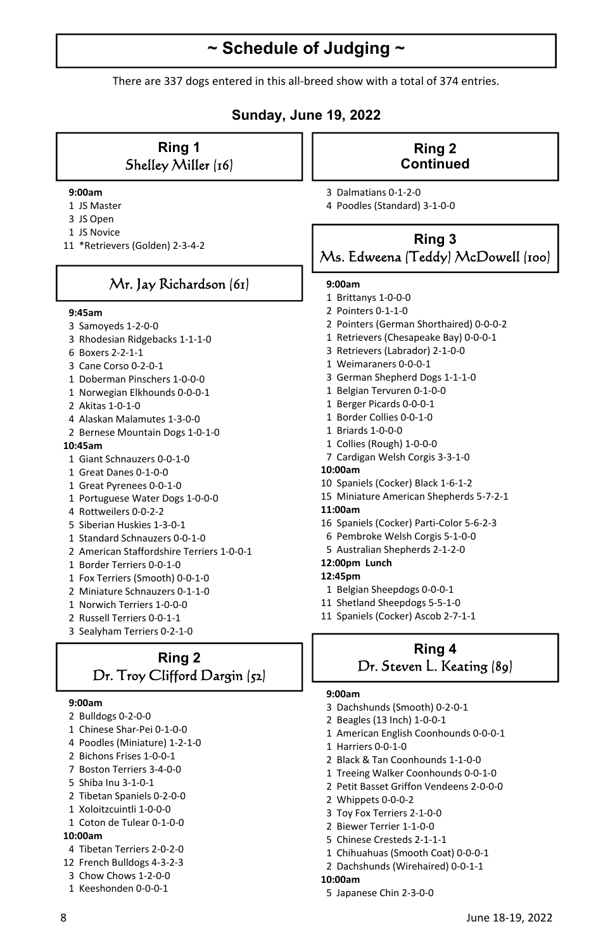# **~ Schedule of Judging ~**

There are 337 dogs entered in this all-breed show with a total of 374 entries.

## **Sunday, June 19, 2022**

## **Ring 1**  Shelley Miller (16)

#### **9:00am**

- 1 JS Master
- 3 JS Open
- 1 JS Novice
- 11 \*Retrievers (Golden) 2-3-4-2

## Mr. Jay Richardson (61)

#### **9:45am**

- 3 Samoyeds 1-2-0-0
- 3 Rhodesian Ridgebacks 1-1-1-0
- 6 Boxers 2-2-1-1
- 3 Cane Corso 0-2-0-1
- 1 Doberman Pinschers 1-0-0-0
- 1 Norwegian Elkhounds 0-0-0-1
- 2 Akitas 1-0-1-0
- 4 Alaskan Malamutes 1-3-0-0
- 2 Bernese Mountain Dogs 1-0-1-0

#### **10:45am**

- 1 Giant Schnauzers 0-0-1-0
- 1 Great Danes 0-1-0-0
- 1 Great Pyrenees 0-0-1-0
- 1 Portuguese Water Dogs 1-0-0-0
- 4 Rottweilers 0-0-2-2
- 5 Siberian Huskies 1-3-0-1
- 1 Standard Schnauzers 0-0-1-0
- 2 American Staffordshire Terriers 1-0-0-1
- 1 Border Terriers 0-0-1-0
- 1 Fox Terriers (Smooth) 0-0-1-0
- 2 Miniature Schnauzers 0-1-1-0
- 1 Norwich Terriers 1-0-0-0
- 2 Russell Terriers 0-0-1-1
- 3 Sealyham Terriers 0-2-1-0

## **Ring 2**  Dr. Troy Clifford Dargin (52)

#### **9:00am**

- 2 Bulldogs 0-2-0-0
- 1 Chinese Shar-Pei 0-1-0-0
- 4 Poodles (Miniature) 1-2-1-0
- 2 Bichons Frises 1-0-0-1
- 7 Boston Terriers 3-4-0-0
- 5 Shiba Inu 3-1-0-1
- 2 Tibetan Spaniels 0-2-0-0
- 1 Xoloitzcuintli 1-0-0-0
- 1 Coton de Tulear 0-1-0-0

### **10:00am**

- 4 Tibetan Terriers 2-0-2-0
- 12 French Bulldogs 4-3-2-3
- 3 Chow Chows 1-2-0-0
- 1 Keeshonden 0-0-0-1

## **Ring 2 Continued**

 3 Dalmatians 0-1-2-0 4 Poodles (Standard) 3-1-0-0

## **Ring 3**  Ms. Edweena (Teddy) McDowell (100)

#### **9:00am**

- 1 Brittanys 1-0-0-0
- 2 Pointers 0-1-1-0
- 2 Pointers (German Shorthaired) 0-0-0-2
- 1 Retrievers (Chesapeake Bay) 0-0-0-1
- 3 Retrievers (Labrador) 2-1-0-0
- 1 Weimaraners 0-0-0-1
- 3 German Shepherd Dogs 1-1-1-0
- 1 Belgian Tervuren 0-1-0-0
- 1 Berger Picards 0-0-0-1
- 1 Border Collies 0-0-1-0
- 1 Briards 1-0-0-0
- 1 Collies (Rough) 1-0-0-0
- 7 Cardigan Welsh Corgis 3-3-1-0

#### **10:00am**

- 10 Spaniels (Cocker) Black 1-6-1-2
- 15 Miniature American Shepherds 5-7-2-1

#### **11:00am**

- 16 Spaniels (Cocker) Parti-Color 5-6-2-3
- 6 Pembroke Welsh Corgis 5-1-0-0
- 5 Australian Shepherds 2-1-2-0

## **12:00pm Lunch**

- **12:45pm**
- 1 Belgian Sheepdogs 0-0-0-1
- 11 Shetland Sheepdogs 5-5-1-0
- 11 Spaniels (Cocker) Ascob 2-7-1-1

## **Ring 4**  Dr. Steven L. Keating (89)

#### **9:00am**

- 3 Dachshunds (Smooth) 0-2-0-1
- 2 Beagles (13 Inch) 1-0-0-1
- 1 American English Coonhounds 0-0-0-1
- 1 Harriers 0-0-1-0
- 2 Black & Tan Coonhounds 1-1-0-0
- 1 Treeing Walker Coonhounds 0-0-1-0
- 2 Petit Basset Griffon Vendeens 2-0-0-0
- 2 Whippets 0-0-0-2
- 3 Toy Fox Terriers 2-1-0-0
- 2 Biewer Terrier 1-1-0-0
- 5 Chinese Cresteds 2-1-1-1
- 1 Chihuahuas (Smooth Coat) 0-0-0-1
- 2 Dachshunds (Wirehaired) 0-0-1-1

#### **10:00am**

5 Japanese Chin 2-3-0-0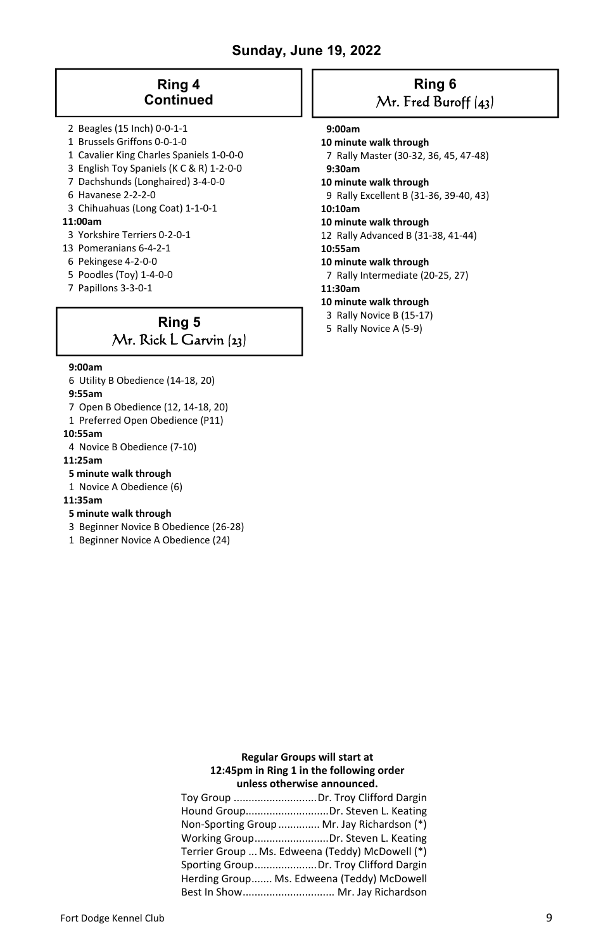## **Sunday, June 19, 2022**

## **Ring 4 Continued**

- 2 Beagles (15 Inch) 0-0-1-1
- 1 Brussels Griffons 0-0-1-0
- 1 Cavalier King Charles Spaniels 1-0-0-0
- 3 English Toy Spaniels (K C & R) 1-2-0-0
- 7 Dachshunds (Longhaired) 3-4-0-0
- 6 Havanese 2-2-2-0
- 3 Chihuahuas (Long Coat) 1-1-0-1

## **11:00am**

- 3 Yorkshire Terriers 0-2-0-1
- 13 Pomeranians 6-4-2-1
- 6 Pekingese 4-2-0-0
- 5 Poodles (Toy) 1-4-0-0
- 7 Papillons 3-3-0-1

## **Ring 5**  Mr. Rick L Garvin (23)

#### **9:00am**

- 6 Utility B Obedience (14-18, 20)
- **9:55am**
- 7 Open B Obedience (12, 14-18, 20)
- 1 Preferred Open Obedience (P11)

#### **10:55am**

- 4 Novice B Obedience (7-10)
- **11:25am**
- **5 minute walk through**
- 1 Novice A Obedience (6)

## **11:35am**

## **5 minute walk through**

- 3 Beginner Novice B Obedience (26-28)
- 1 Beginner Novice A Obedience (24)

## **Ring 6**  Mr. Fred Buroff (43)

## **9:00am**

#### **10 minute walk through**

 7 Rally Master (30-32, 36, 45, 47-48)  **9:30am** 

- **10 minute walk through**
- 9 Rally Excellent B (31-36, 39-40, 43)
- **10:10am**

#### **10 minute walk through**

- 12 Rally Advanced B (31-38, 41-44)
- **10:55am**
- **10 minute walk through**
- 7 Rally Intermediate (20-25, 27)
- **11:30am**
- **10 minute walk through**
- 3 Rally Novice B (15-17)
- 5 Rally Novice A (5-9)

## **Regular Groups will start at 12:45pm in Ring 1 in the following order unless otherwise announced.**

| Non-Sporting Group  Mr. Jay Richardson (*)      |  |
|-------------------------------------------------|--|
| Working GroupDr. Steven L. Keating              |  |
| Terrier Group  Ms. Edweena (Teddy) McDowell (*) |  |
| Sporting GroupDr. Troy Clifford Dargin          |  |
| Herding Group Ms. Edweena (Teddy) McDowell      |  |
| Best In Show Mr. Jay Richardson                 |  |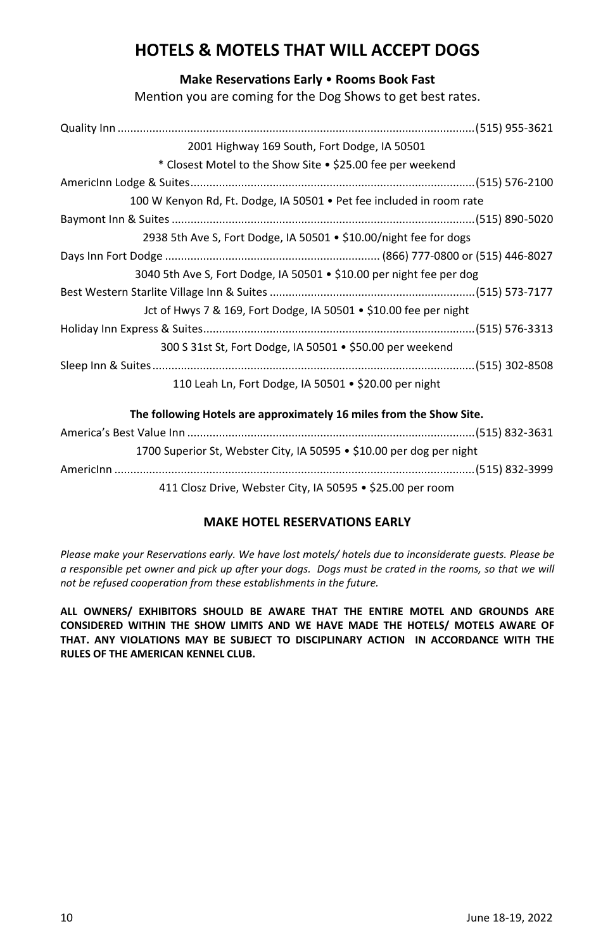# **HOTELS & MOTELS THAT WILL ACCEPT DOGS**

## **Make ReservaƟons Early** • **Rooms Book Fast**

Mention you are coming for the Dog Shows to get best rates.

| 2001 Highway 169 South, Fort Dodge, IA 50501                         |  |
|----------------------------------------------------------------------|--|
| * Closest Motel to the Show Site • \$25.00 fee per weekend           |  |
|                                                                      |  |
| 100 W Kenyon Rd, Ft. Dodge, IA 50501 • Pet fee included in room rate |  |
|                                                                      |  |
| 2938 5th Ave S, Fort Dodge, IA 50501 • \$10.00/night fee for dogs    |  |
|                                                                      |  |
| 3040 5th Ave S, Fort Dodge, IA 50501 • \$10.00 per night fee per dog |  |
|                                                                      |  |
| Jct of Hwys 7 & 169, Fort Dodge, IA 50501 • \$10.00 fee per night    |  |
|                                                                      |  |
| 300 S 31st St, Fort Dodge, IA 50501 • \$50.00 per weekend            |  |
|                                                                      |  |
| 110 Leah Ln, Fort Dodge, IA 50501 • \$20.00 per night                |  |
| The following Hotels are approximately 16 miles from the Show Site.  |  |
|                                                                      |  |

1700 Superior St, Webster City, IA 50595 • \$10.00 per dog per night AmericInn .................................................................................................................. (515) 832-3999 411 Closz Drive, Webster City, IA 50595 • \$25.00 per room

## **MAKE HOTEL RESERVATIONS EARLY**

*Please make your Reservations early. We have lost motels/ hotels due to inconsiderate guests. Please be a responsible pet owner and pick up after your dogs. Dogs must be crated in the rooms, so that we will not be refused cooperaƟon from these establishments in the future.* 

**ALL OWNERS/ EXHIBITORS SHOULD BE AWARE THAT THE ENTIRE MOTEL AND GROUNDS ARE CONSIDERED WITHIN THE SHOW LIMITS AND WE HAVE MADE THE HOTELS/ MOTELS AWARE OF THAT. ANY VIOLATIONS MAY BE SUBJECT TO DISCIPLINARY ACTION IN ACCORDANCE WITH THE RULES OF THE AMERICAN KENNEL CLUB.**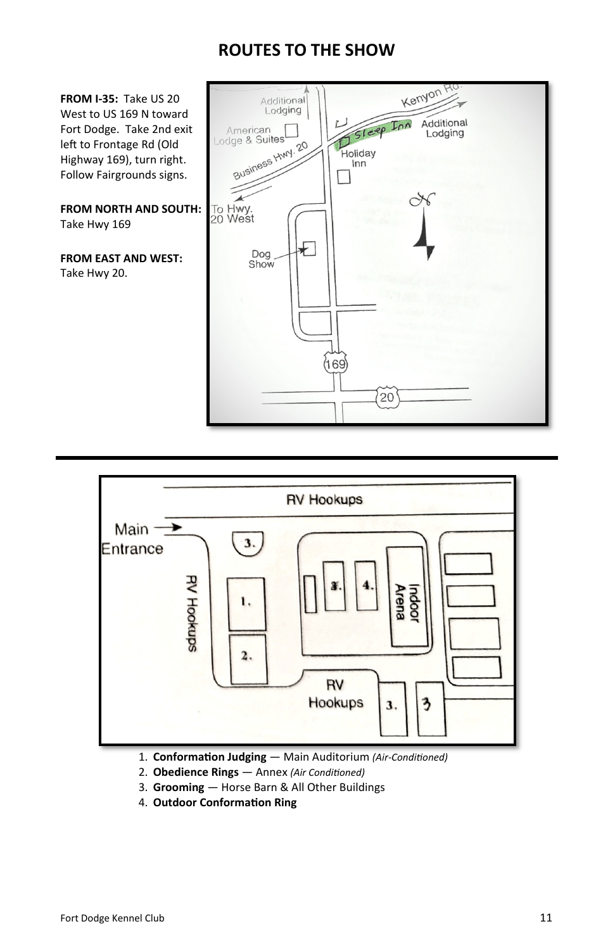# **ROUTES TO THE SHOW**





- 1. **Conformation Judging** Main Auditorium *(Air-Conditioned)*
- 2. **Obedience Rings**  Annex *(Air CondiƟoned)*
- 3. **Grooming**  Horse Barn & All Other Buildings
- 4. **Outdoor ConformaƟon Ring**